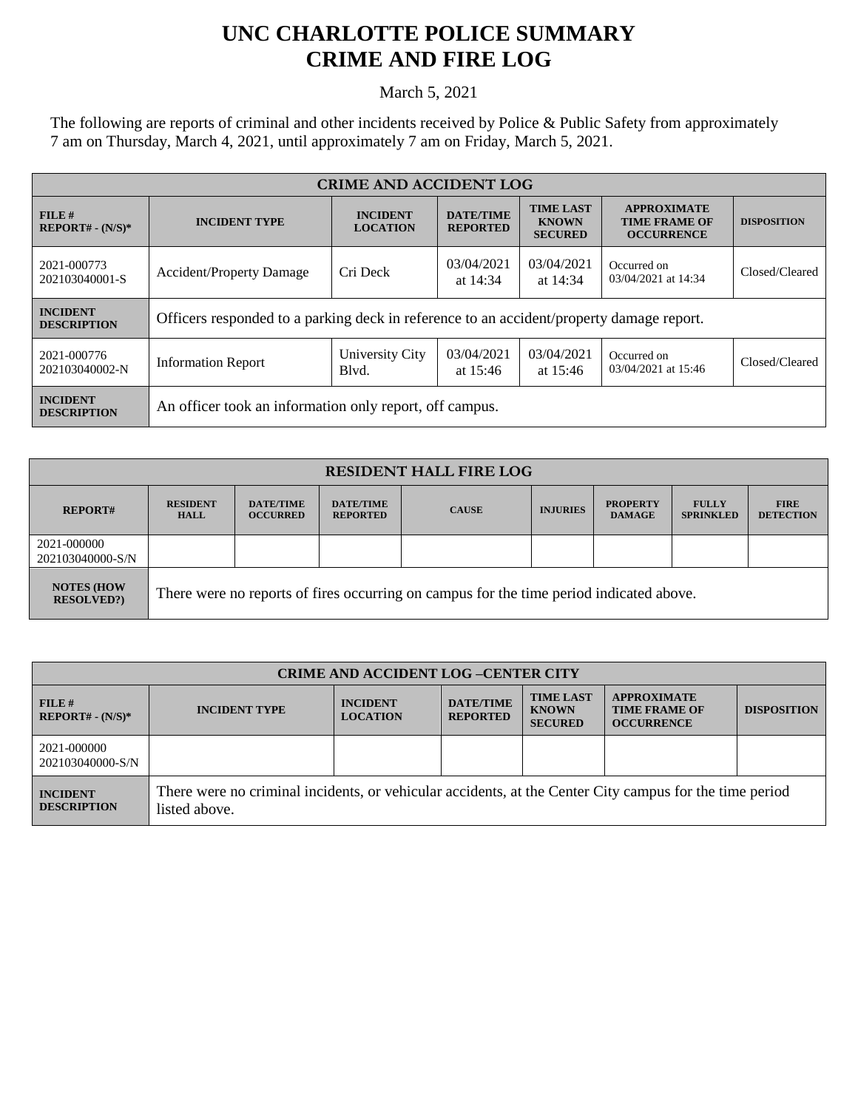## **UNC CHARLOTTE POLICE SUMMARY CRIME AND FIRE LOG**

March 5, 2021

The following are reports of criminal and other incidents received by Police & Public Safety from approximately 7 am on Thursday, March 4, 2021, until approximately 7 am on Friday, March 5, 2021.

| <b>CRIME AND ACCIDENT LOG</b>         |                                                                                                   |                                                              |                                                    |                                                                 |                                    |                |  |
|---------------------------------------|---------------------------------------------------------------------------------------------------|--------------------------------------------------------------|----------------------------------------------------|-----------------------------------------------------------------|------------------------------------|----------------|--|
| $FILE$ #<br>$REPORT# - (N/S)*$        | <b>DATE/TIME</b><br><b>INCIDENT</b><br><b>INCIDENT TYPE</b><br><b>LOCATION</b><br><b>REPORTED</b> |                                                              | <b>TIME LAST</b><br><b>KNOWN</b><br><b>SECURED</b> | <b>APPROXIMATE</b><br><b>TIME FRAME OF</b><br><b>OCCURRENCE</b> | <b>DISPOSITION</b>                 |                |  |
| 2021-000773<br>202103040001-S         | <b>Accident/Property Damage</b>                                                                   | 03/04/2021<br>03/04/2021<br>Cri Deck<br>at 14:34<br>at 14:34 |                                                    | Occurred on<br>03/04/2021 at 14:34                              | Closed/Cleared                     |                |  |
| <b>INCIDENT</b><br><b>DESCRIPTION</b> | Officers responded to a parking deck in reference to an accident/property damage report.          |                                                              |                                                    |                                                                 |                                    |                |  |
| 2021-000776<br>202103040002-N         | <b>Information Report</b>                                                                         | University City<br>Blvd.                                     | 03/04/2021<br>at $15:46$                           | 03/04/2021<br>at $15:46$                                        | Occurred on<br>03/04/2021 at 15:46 | Closed/Cleared |  |
| <b>INCIDENT</b><br><b>DESCRIPTION</b> | An officer took an information only report, off campus.                                           |                                                              |                                                    |                                                                 |                                    |                |  |

| <b>RESIDENT HALL FIRE LOG</b>         |                                                                                         |                                     |                                     |              |                 |                                  |                                  |                                 |
|---------------------------------------|-----------------------------------------------------------------------------------------|-------------------------------------|-------------------------------------|--------------|-----------------|----------------------------------|----------------------------------|---------------------------------|
| <b>REPORT#</b>                        | <b>RESIDENT</b><br><b>HALL</b>                                                          | <b>DATE/TIME</b><br><b>OCCURRED</b> | <b>DATE/TIME</b><br><b>REPORTED</b> | <b>CAUSE</b> | <b>INJURIES</b> | <b>PROPERTY</b><br><b>DAMAGE</b> | <b>FULLY</b><br><b>SPRINKLED</b> | <b>FIRE</b><br><b>DETECTION</b> |
| 2021-000000<br>202103040000-S/N       |                                                                                         |                                     |                                     |              |                 |                                  |                                  |                                 |
| <b>NOTES (HOW</b><br><b>RESOLVED?</b> | There were no reports of fires occurring on campus for the time period indicated above. |                                     |                                     |              |                 |                                  |                                  |                                 |

| <b>CRIME AND ACCIDENT LOG-CENTER CITY</b> |                                                                                                                          |                                    |                                     |                                                    |                                                                 |                    |  |
|-------------------------------------------|--------------------------------------------------------------------------------------------------------------------------|------------------------------------|-------------------------------------|----------------------------------------------------|-----------------------------------------------------------------|--------------------|--|
| $FILE$ #<br>$REPORT# - (N/S)*$            | <b>INCIDENT TYPE</b>                                                                                                     | <b>INCIDENT</b><br><b>LOCATION</b> | <b>DATE/TIME</b><br><b>REPORTED</b> | <b>TIME LAST</b><br><b>KNOWN</b><br><b>SECURED</b> | <b>APPROXIMATE</b><br><b>TIME FRAME OF</b><br><b>OCCURRENCE</b> | <b>DISPOSITION</b> |  |
| 2021-000000<br>202103040000-S/N           |                                                                                                                          |                                    |                                     |                                                    |                                                                 |                    |  |
| <b>INCIDENT</b><br><b>DESCRIPTION</b>     | There were no criminal incidents, or vehicular accidents, at the Center City campus for the time period<br>listed above. |                                    |                                     |                                                    |                                                                 |                    |  |